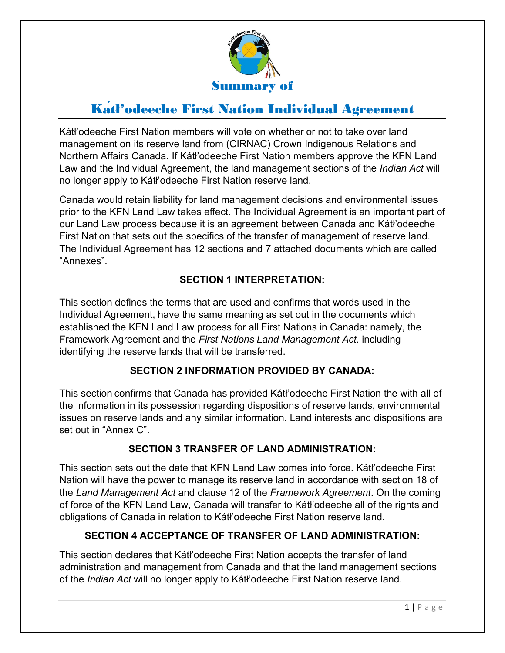

# Kátł'odeeche First Nation Individual Agreement

Kátł'odeeche First Nation members will vote on whether or not to take over land management on its reserve land from (CIRNAC) Crown Indigenous Relations and Northern Affairs Canada. If Kátł'odeeche First Nation members approve the KFN Land Law and the Individual Agreement, the land management sections of the *Indian Act* will no longer apply to Kátł'odeeche First Nation reserve land.

Canada would retain liability for land management decisions and environmental issues prior to the KFN Land Law takes effect. The Individual Agreement is an important part of our Land Law process because it is an agreement between Canada and Kátł'odeeche First Nation that sets out the specifics of the transfer of management of reserve land. The Individual Agreement has 12 sections and 7 attached documents which are called "Annexes".

#### **SECTION 1 INTERPRETATION:**

This section defines the terms that are used and confirms that words used in the Individual Agreement, have the same meaning as set out in the documents which established the KFN Land Law process for all First Nations in Canada: namely, the Framework Agreement and the *First Nations Land Management Act*. including identifying the reserve lands that will be transferred.

#### **SECTION 2 INFORMATION PROVIDED BY CANADA:**

This section confirms that Canada has provided Kátł'odeeche First Nation the with all of the information in its possession regarding dispositions of reserve lands, environmental issues on reserve lands and any similar information. Land interests and dispositions are set out in "Annex C".

## **SECTION 3 TRANSFER OF LAND ADMINISTRATION:**

This section sets out the date that KFN Land Law comes into force. Kátł'odeeche First Nation will have the power to manage its reserve land in accordance with section 18 of the *Land Management Act* and clause 12 of the *Framework Agreement*. On the coming of force of the KFN Land Law, Canada will transfer to Kátł'odeeche all of the rights and obligations of Canada in relation to Kátł'odeeche First Nation reserve land.

#### **SECTION 4 ACCEPTANCE OF TRANSFER OF LAND ADMINISTRATION:**

This section declares that Kátł'odeeche First Nation accepts the transfer of land administration and management from Canada and that the land management sections of the *Indian Act* will no longer apply to Kátł'odeeche First Nation reserve land.